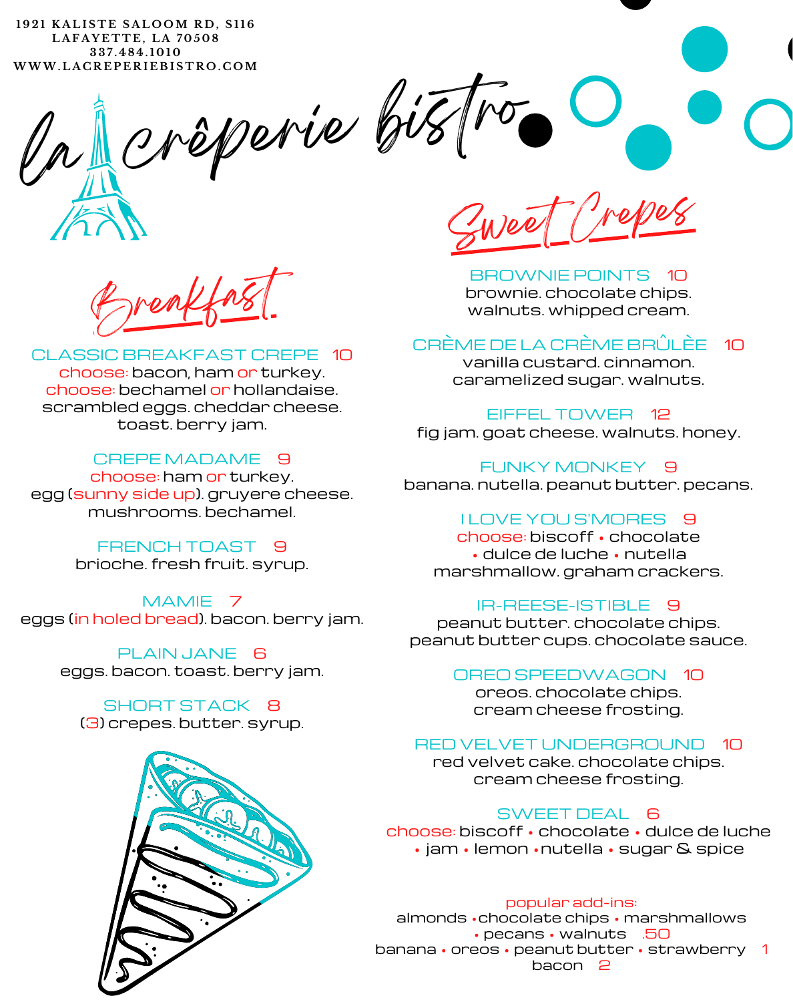**1 9 2 1 K A L I S T E S A L O OM R D , S 1 1 6 L A F A Y E T T E , L A 7 0 5 0 8 3 3 7 . 4 8 4 . 1 0 1 0 WWW. L A C R E P E R I E B I S T R O . C OM**

rêperie bistro

Breakfast

# CLASSIC BREAKFAST CREPE 10

choose: bacon, ham or turkey. choose: bechamel or hollandaise. scrambled eggs. cheddar cheese. toast. berry jam.

# CREPE MADAME<sup>9</sup>

choose: ham or turkey. egg (sunny side up). gruyere cheese. mushrooms. bechamel.

> FRENCH TOAST 9 brioche. fresh fruit. syrup.

MAMIE 7 eggs (in holed bread). bacon. berry jam.

> PLAIN JANE 6 eggs. bacon. toast. berry jam.

SHORT STACK 8 (3) crepes. butter. syrup.



Sweet Crepes

BROWNIE POINTS 10 brownie. chocolate chips. walnuts. whipped cream.

# CRÈME DE LA CRÈME BRÛLÈE 10

vanilla custard. cinnamon. caramelized sugar. walnuts.

EIFFEL TOWER 12 fig jam. goat cheese. walnuts. honey.

FUNKY MONKEY 9 banana. nutella. peanut butter. pecans.

# I LOVE YOU S'MORES 9

choose: biscoff • chocolate • dulce de luche • nutella marshmallow. graham crackers.

# IR-REESE-ISTIBLE 9

peanut butter. chocolate chips. peanut butter cups. chocolate sauce.

#### OREO SPEEDWAGON 10

oreos. chocolate chips. cream cheese frosting.

# RED VELVET UNDERGROUND 10

red velvet cake. chocolate chips. cream cheese frosting.

# SWEET DEAL 6

choose: biscoff • chocolate • dulce de luche • jam • lemon • nutella • sugar & spice

#### popular add-ins:

almonds •chocolate chips • marshmallows • pecans • walnuts .50 banana • oreos • peanut butter • strawberry 1 bacon 2